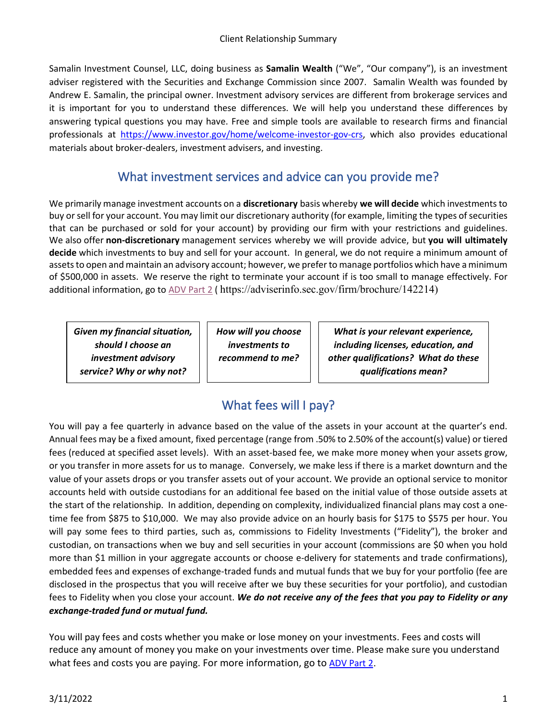Samalin Investment Counsel, LLC, doing business as **Samalin Wealth** ("We", "Our company"), is an investment adviser registered with the Securities and Exchange Commission since 2007. Samalin Wealth was founded by Andrew E. Samalin, the principal owner. Investment advisory services are different from brokerage services and it is important for you to understand these differences. We will help you understand these differences by answering typical questions you may have. Free and simple tools are available to research firms and financial professionals at [https://www.investor.gov/home/welcome-investor-gov-crs,](https://www.investor.gov/home/welcome-investor-gov-crs) which also provides educational materials about broker-dealers, investment advisers, and investing.

#### What investment services and advice can you provide me?

We primarily manage investment accounts on a **discretionary** basis whereby **we will decide** which investments to buy or sell for your account. You may limit our discretionary authority (for example, limiting the types of securities that can be purchased or sold for your account) by providing our firm with your restrictions and guidelines. We also offer **non-discretionary** management services whereby we will provide advice, but **you will ultimately decide** which investments to buy and sell for your account. In general, we do not require a minimum amount of assets to open and maintain an advisory account; however, we prefer to manage portfolios which have a minimum of \$500,000 in assets. We reserve the right to terminate your account if is too small to manage effectively. For additional information, go to [ADV Part 2](https://adviserinfo.sec.gov/firm/brochure/142214) ( https://adviserinfo.sec.gov/firm/brochure/142214)

*Given my financial situation, should I choose an investment advisory service? Why or why not?*

*How will you choose investments to recommend to me?*

*What is your relevant experience, including licenses, education, and other qualifications? What do these qualifications mean?*

# What fees will I pay?

You will pay a fee quarterly in advance based on the value of the assets in your account at the quarter's end. Annual fees may be a fixed amount, fixed percentage (range from .50% to 2.50% of the account(s) value) or tiered fees (reduced at specified asset levels). With an asset-based fee, we make more money when your assets grow, or you transfer in more assets for us to manage. Conversely, we make less if there is a market downturn and the value of your assets drops or you transfer assets out of your account. We provide an optional service to monitor accounts held with outside custodians for an additional fee based on the initial value of those outside assets at the start of the relationship. In addition, depending on complexity, individualized financial plans may cost a onetime fee from \$875 to \$10,000. We may also provide advice on an hourly basis for \$175 to \$575 per hour. You will pay some fees to third parties, such as, commissions to Fidelity Investments ("Fidelity"), the broker and custodian, on transactions when we buy and sell securities in your account (commissions are \$0 when you hold more than \$1 million in your aggregate accounts or choose e-delivery for statements and trade confirmations), embedded fees and expenses of exchange-traded funds and mutual funds that we buy for your portfolio (fee are disclosed in the prospectus that you will receive after we buy these securities for your portfolio), and custodian fees to Fidelity when you close your account. *We do not receive any of the fees that you pay to Fidelity or any exchange-traded fund or mutual fund.*

You will pay fees and costs whether you make or lose money on your investments. Fees and costs will reduce any amount of money you make on your investments over time. Please make sure you understand what fees and costs you are paying. For more information, go to [ADV Part 2](https://adviserinfo.sec.gov/firm/brochure/142214).